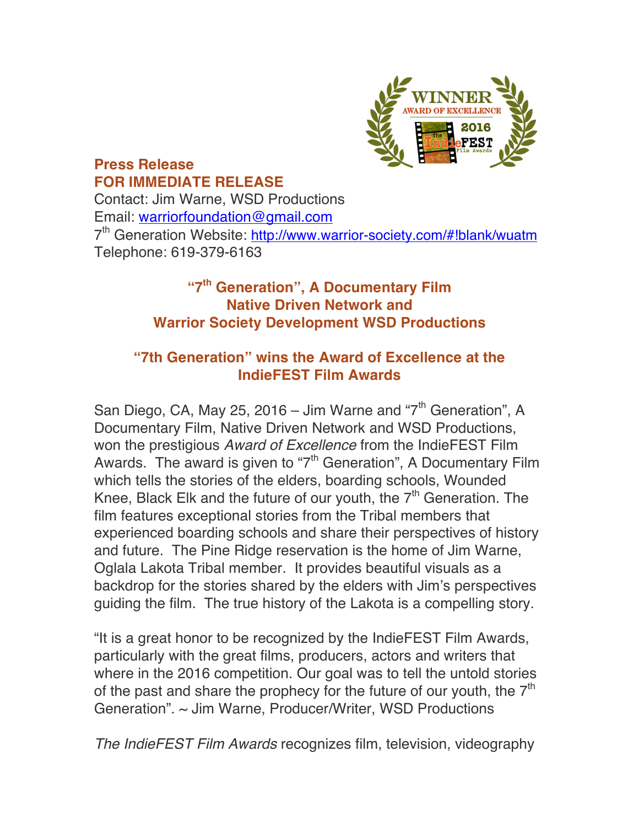

## **Press Release FOR IMMEDIATE RELEASE**

Contact: Jim Warne, WSD Productions Email: warriorfoundation@gmail.com 7<sup>th</sup> Generation Website: http://www.warrior-society.com/#!blank/wuatm Telephone: 619-379-6163

## **"7th Generation", A Documentary Film Native Driven Network and Warrior Society Development WSD Productions**

## **"7th Generation" wins the Award of Excellence at the IndieFEST Film Awards**

San Diego, CA, May 25, 2016 – Jim Warne and " $7<sup>th</sup>$  Generation", A Documentary Film, Native Driven Network and WSD Productions, won the prestigious *Award of Excellence* from the IndieFEST Film Awards. The award is given to " $7<sup>th</sup>$  Generation", A Documentary Film which tells the stories of the elders, boarding schools, Wounded Knee, Black Elk and the future of our youth, the  $7<sup>th</sup>$  Generation. The film features exceptional stories from the Tribal members that experienced boarding schools and share their perspectives of history and future. The Pine Ridge reservation is the home of Jim Warne, Oglala Lakota Tribal member. It provides beautiful visuals as a backdrop for the stories shared by the elders with Jim's perspectives guiding the film. The true history of the Lakota is a compelling story.

"It is a great honor to be recognized by the IndieFEST Film Awards, particularly with the great films, producers, actors and writers that where in the 2016 competition. Our goal was to tell the untold stories of the past and share the prophecy for the future of our youth, the  $7<sup>th</sup>$ Generation". ~ Jim Warne, Producer/Writer, WSD Productions

*The IndieFEST Film Awards* recognizes film, television, videography